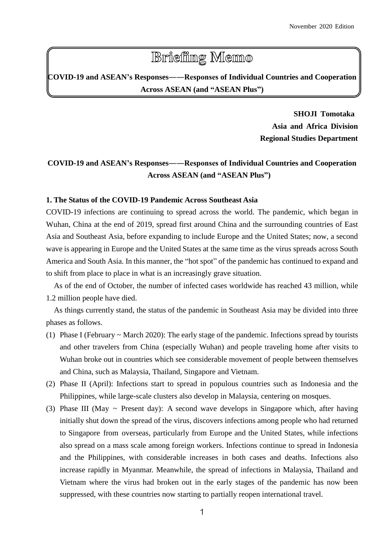# **Briefing Memo**

**COVID-19 and ASEAN's Responses――Responses of Individual Countries and Cooperation Across ASEAN (and "ASEAN Plus")**

> **SHOJI Tomotaka Asia and Africa Division Regional Studies Department**

# **COVID-19 and ASEAN's Responses――Responses of Individual Countries and Cooperation Across ASEAN (and "ASEAN Plus")**

## **1. The Status of the COVID-19 Pandemic Across Southeast Asia**

COVID-19 infections are continuing to spread across the world. The pandemic, which began in Wuhan, China at the end of 2019, spread first around China and the surrounding countries of East Asia and Southeast Asia, before expanding to include Europe and the United States; now, a second wave is appearing in Europe and the United States at the same time as the virus spreads across South America and South Asia. In this manner, the "hot spot" of the pandemic has continued to expand and to shift from place to place in what is an increasingly grave situation.

As of the end of October, the number of infected cases worldwide has reached 43 million, while 1.2 million people have died.

As things currently stand, the status of the pandemic in Southeast Asia may be divided into three phases as follows.

- (1) Phase I (February ~ March 2020): The early stage of the pandemic. Infections spread by tourists and other travelers from China (especially Wuhan) and people traveling home after visits to Wuhan broke out in countries which see considerable movement of people between themselves and China, such as Malaysia, Thailand, Singapore and Vietnam.
- (2) Phase II (April): Infections start to spread in populous countries such as Indonesia and the Philippines, while large-scale clusters also develop in Malaysia, centering on mosques.
- (3) Phase III (May ~ Present day): A second wave develops in Singapore which, after having initially shut down the spread of the virus, discovers infections among people who had returned to Singapore from overseas, particularly from Europe and the United States, while infections also spread on a mass scale among foreign workers. Infections continue to spread in Indonesia and the Philippines, with considerable increases in both cases and deaths. Infections also increase rapidly in Myanmar. Meanwhile, the spread of infections in Malaysia, Thailand and Vietnam where the virus had broken out in the early stages of the pandemic has now been suppressed, with these countries now starting to partially reopen international travel.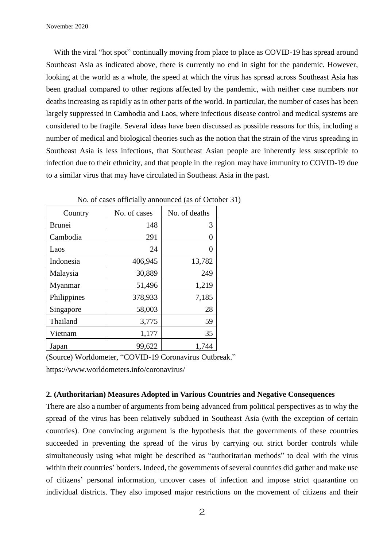With the viral "hot spot" continually moving from place to place as COVID-19 has spread around Southeast Asia as indicated above, there is currently no end in sight for the pandemic. However, looking at the world as a whole, the speed at which the virus has spread across Southeast Asia has been gradual compared to other regions affected by the pandemic, with neither case numbers nor deaths increasing as rapidly as in other parts of the world. In particular, the number of cases has been largely suppressed in Cambodia and Laos, where infectious disease control and medical systems are considered to be fragile. Several ideas have been discussed as possible reasons for this, including a number of medical and biological theories such as the notion that the strain of the virus spreading in Southeast Asia is less infectious, that Southeast Asian people are inherently less susceptible to infection due to their ethnicity, and that people in the region may have immunity to COVID-19 due to a similar virus that may have circulated in Southeast Asia in the past.

| Country       | No. of cases | No. of deaths |
|---------------|--------------|---------------|
| <b>Brunei</b> | 148          | 3             |
| Cambodia      | 291          |               |
| Laos          | 24           |               |
| Indonesia     | 406,945      | 13,782        |
| Malaysia      | 30,889       | 249           |
| Myanmar       | 51,496       | 1,219         |
| Philippines   | 378,933      | 7,185         |
| Singapore     | 58,003       | 28            |
| Thailand      | 3,775        | 59            |
| Vietnam       | 1,177        | 35            |
| Japan         | 99,622       | 1,744         |

No. of cases officially announced (as of October 31)

(Source) Worldometer, "COVID-19 Coronavirus Outbreak." https://www.worldometers.info/coronavirus/

### **2. (Authoritarian) Measures Adopted in Various Countries and Negative Consequences**

There are also a number of arguments from being advanced from political perspectives as to why the spread of the virus has been relatively subdued in Southeast Asia (with the exception of certain countries). One convincing argument is the hypothesis that the governments of these countries succeeded in preventing the spread of the virus by carrying out strict border controls while simultaneously using what might be described as "authoritarian methods" to deal with the virus within their countries' borders. Indeed, the governments of several countries did gather and make use of citizens' personal information, uncover cases of infection and impose strict quarantine on individual districts. They also imposed major restrictions on the movement of citizens and their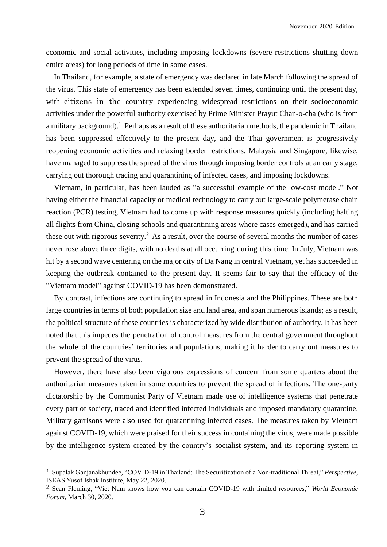economic and social activities, including imposing lockdowns (severe restrictions shutting down entire areas) for long periods of time in some cases.

In Thailand, for example, a state of emergency was declared in late March following the spread of the virus. This state of emergency has been extended seven times, continuing until the present day, with citizens in the country experiencing widespread restrictions on their socioeconomic activities under the powerful authority exercised by Prime Minister Prayut Chan-o-cha (who is from a military background).<sup>1</sup> Perhaps as a result of these authoritarian methods, the pandemic in Thailand has been suppressed effectively to the present day, and the Thai government is progressively reopening economic activities and relaxing border restrictions. Malaysia and Singapore, likewise, have managed to suppress the spread of the virus through imposing border controls at an early stage, carrying out thorough tracing and quarantining of infected cases, and imposing lockdowns.

Vietnam, in particular, has been lauded as "a successful example of the low-cost model." Not having either the financial capacity or medical technology to carry out large-scale polymerase chain reaction (PCR) testing, Vietnam had to come up with response measures quickly (including halting all flights from China, closing schools and quarantining areas where cases emerged), and has carried these out with rigorous severity.<sup>2</sup> As a result, over the course of several months the number of cases never rose above three digits, with no deaths at all occurring during this time. In July, Vietnam was hit by a second wave centering on the major city of Da Nang in central Vietnam, yet has succeeded in keeping the outbreak contained to the present day. It seems fair to say that the efficacy of the "Vietnam model" against COVID-19 has been demonstrated.

By contrast, infections are continuing to spread in Indonesia and the Philippines. These are both large countries in terms of both population size and land area, and span numerous islands; as a result, the political structure of these countries is characterized by wide distribution of authority. It has been noted that this impedes the penetration of control measures from the central government throughout the whole of the countries' territories and populations, making it harder to carry out measures to prevent the spread of the virus.

However, there have also been vigorous expressions of concern from some quarters about the authoritarian measures taken in some countries to prevent the spread of infections. The one-party dictatorship by the Communist Party of Vietnam made use of intelligence systems that penetrate every part of society, traced and identified infected individuals and imposed mandatory quarantine. Military garrisons were also used for quarantining infected cases. The measures taken by Vietnam against COVID-19, which were praised for their success in containing the virus, were made possible by the intelligence system created by the country's socialist system, and its reporting system in

<sup>1</sup> Supalak Ganjanakhundee, "COVID-19 in Thailand: The Securitization of a Non-traditional Threat," *Perspective,* ISEAS Yusof Ishak Institute, May 22, 2020.

<sup>2</sup> Sean Fleming, "Viet Nam shows how you can contain COVID-19 with limited resources," *World Economic Forum*, March 30, 2020.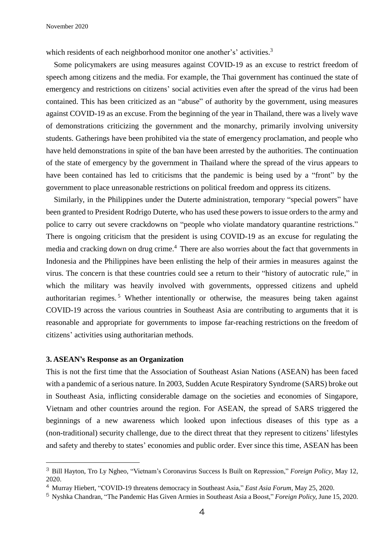which residents of each neighborhood monitor one another's' activities.<sup>3</sup>

Some policymakers are using measures against COVID-19 as an excuse to restrict freedom of speech among citizens and the media. For example, the Thai government has continued the state of emergency and restrictions on citizens' social activities even after the spread of the virus had been contained. This has been criticized as an "abuse" of authority by the government, using measures against COVID-19 as an excuse. From the beginning of the year in Thailand, there was a lively wave of demonstrations criticizing the government and the monarchy, primarily involving university students. Gatherings have been prohibited via the state of emergency proclamation, and people who have held demonstrations in spite of the ban have been arrested by the authorities. The continuation of the state of emergency by the government in Thailand where the spread of the virus appears to have been contained has led to criticisms that the pandemic is being used by a "front" by the government to place unreasonable restrictions on political freedom and oppress its citizens.

Similarly, in the Philippines under the Duterte administration, temporary "special powers" have been granted to President Rodrigo Duterte, who has used these powers to issue orders to the army and police to carry out severe crackdowns on "people who violate mandatory quarantine restrictions." There is ongoing criticism that the president is using COVID-19 as an excuse for regulating the media and cracking down on drug crime.<sup>4</sup> There are also worries about the fact that governments in Indonesia and the Philippines have been enlisting the help of their armies in measures against the virus. The concern is that these countries could see a return to their "history of autocratic rule," in which the military was heavily involved with governments, oppressed citizens and upheld authoritarian regimes.<sup>5</sup> Whether intentionally or otherwise, the measures being taken against COVID-19 across the various countries in Southeast Asia are contributing to arguments that it is reasonable and appropriate for governments to impose far-reaching restrictions on the freedom of citizens' activities using authoritarian methods.

#### **3. ASEAN's Response as an Organization**

 $\overline{a}$ 

This is not the first time that the Association of Southeast Asian Nations (ASEAN) has been faced with a pandemic of a serious nature. In 2003, Sudden Acute Respiratory Syndrome (SARS) broke out in Southeast Asia, inflicting considerable damage on the societies and economies of Singapore, Vietnam and other countries around the region. For ASEAN, the spread of SARS triggered the beginnings of a new awareness which looked upon infectious diseases of this type as a (non-traditional) security challenge, due to the direct threat that they represent to citizens' lifestyles and safety and thereby to states' economies and public order. Ever since this time, ASEAN has been

<sup>3</sup> Bill Hayton, Tro Ly Ngheo, "Vietnam's Coronavirus Success Is Built on Repression," *Foreign Policy*, May 12, 2020.

<sup>4</sup> Murray Hiebert, "COVID-19 threatens democracy in Southeast Asia," *East Asia Forum*, May 25, 2020.

<sup>5</sup> Nyshka Chandran, "The Pandemic Has Given Armies in Southeast Asia a Boost," *Foreign Policy,* June 15, 2020.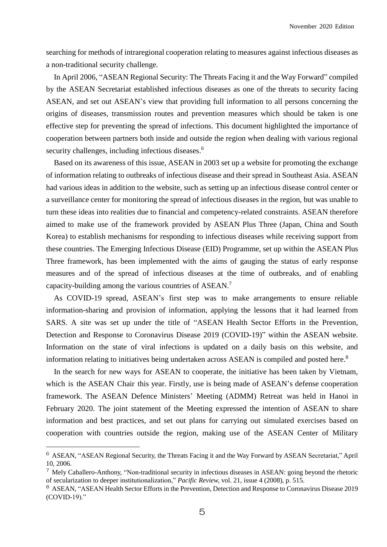searching for methods of intraregional cooperation relating to measures against infectious diseases as a non-traditional security challenge.

In April 2006, "ASEAN Regional Security: The Threats Facing it and the Way Forward" compiled by the ASEAN Secretariat established infectious diseases as one of the threats to security facing ASEAN, and set out ASEAN's view that providing full information to all persons concerning the origins of diseases, transmission routes and prevention measures which should be taken is one effective step for preventing the spread of infections. This document highlighted the importance of cooperation between partners both inside and outside the region when dealing with various regional security challenges, including infectious diseases.<sup>6</sup>

Based on its awareness of this issue, ASEAN in 2003 set up a website for promoting the exchange of information relating to outbreaks of infectious disease and their spread in Southeast Asia. ASEAN had various ideas in addition to the website, such as setting up an infectious disease control center or a surveillance center for monitoring the spread of infectious diseases in the region, but was unable to turn these ideas into realities due to financial and competency-related constraints. ASEAN therefore aimed to make use of the framework provided by ASEAN Plus Three (Japan, China and South Korea) to establish mechanisms for responding to infectious diseases while receiving support from these countries. The Emerging Infectious Disease (EID) Programme, set up within the ASEAN Plus Three framework, has been implemented with the aims of gauging the status of early response measures and of the spread of infectious diseases at the time of outbreaks, and of enabling capacity-building among the various countries of ASEAN.<sup>7</sup>

As COVID-19 spread, ASEAN's first step was to make arrangements to ensure reliable information-sharing and provision of information, applying the lessons that it had learned from SARS. A site was set up under the title of "ASEAN Health Sector Efforts in the Prevention, Detection and Response to Coronavirus Disease 2019 (COVID-19)" within the ASEAN website. Information on the state of viral infections is updated on a daily basis on this website, and information relating to initiatives being undertaken across ASEAN is compiled and posted here.<sup>8</sup>

In the search for new ways for ASEAN to cooperate, the initiative has been taken by Vietnam, which is the ASEAN Chair this year. Firstly, use is being made of ASEAN's defense cooperation framework. The ASEAN Defence Ministers' Meeting (ADMM) Retreat was held in Hanoi in February 2020. The joint statement of the Meeting expressed the intention of ASEAN to share information and best practices, and set out plans for carrying out simulated exercises based on cooperation with countries outside the region, making use of the ASEAN Center of Military

<sup>6</sup> ASEAN, "ASEAN Regional Security, the Threats Facing it and the Way Forward by ASEAN Secretariat," April 10, 2006.

<sup>7</sup> Mely Caballero-Anthony, "Non-traditional security in infectious diseases in ASEAN: going beyond the rhetoric of secularization to deeper institutionalization," *Pacific Review,* vol. 21, issue 4 (2008), p. 515.

<sup>8</sup> ASEAN, "ASEAN Health Sector Efforts in the Prevention, Detection and Response to Coronavirus Disease 2019 (COVID-19)."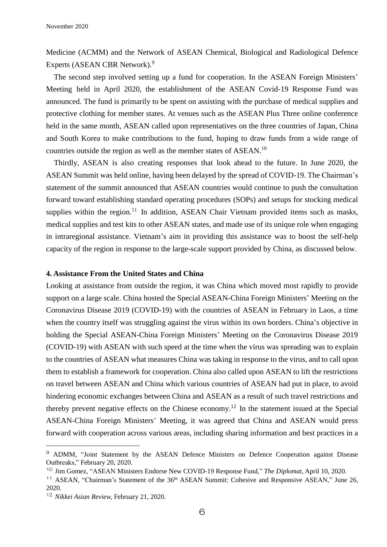Medicine (ACMM) and the Network of ASEAN Chemical, Biological and Radiological Defence Experts (ASEAN CBR Network).<sup>9</sup>

The second step involved setting up a fund for cooperation. In the ASEAN Foreign Ministers' Meeting held in April 2020, the establishment of the ASEAN Covid-19 Response Fund was announced. The fund is primarily to be spent on assisting with the purchase of medical supplies and protective clothing for member states. At venues such as the ASEAN Plus Three online conference held in the same month, ASEAN called upon representatives on the three countries of Japan, China and South Korea to make contributions to the fund, hoping to draw funds from a wide range of countries outside the region as well as the member states of ASEAN.<sup>10</sup>

Thirdly, ASEAN is also creating responses that look ahead to the future. In June 2020, the ASEAN Summit was held online, having been delayed by the spread of COVID-19. The Chairman's statement of the summit announced that ASEAN countries would continue to push the consultation forward toward establishing standard operating procedures (SOPs) and setups for stocking medical supplies within the region.<sup>11</sup> In addition, ASEAN Chair Vietnam provided items such as masks, medical supplies and test kits to other ASEAN states, and made use of its unique role when engaging in intraregional assistance. Vietnam's aim in providing this assistance was to boost the self-help capacity of the region in response to the large-scale support provided by China, as discussed below.

#### **4. Assistance From the United States and China**

Looking at assistance from outside the region, it was China which moved most rapidly to provide support on a large scale. China hosted the Special ASEAN-China Foreign Ministers' Meeting on the Coronavirus Disease 2019 (COVID-19) with the countries of ASEAN in February in Laos, a time when the country itself was struggling against the virus within its own borders. China's objective in holding the Special ASEAN-China Foreign Ministers' Meeting on the Coronavirus Disease 2019 (COVID-19) with ASEAN with such speed at the time when the virus was spreading was to explain to the countries of ASEAN what measures China was taking in response to the virus, and to call upon them to establish a framework for cooperation. China also called upon ASEAN to lift the restrictions on travel between ASEAN and China which various countries of ASEAN had put in place, to avoid hindering economic exchanges between China and ASEAN as a result of such travel restrictions and thereby prevent negative effects on the Chinese economy.<sup>12</sup> In the statement issued at the Special ASEAN-China Foreign Ministers' Meeting, it was agreed that China and ASEAN would press forward with cooperation across various areas, including sharing information and best practices in a

<sup>9</sup> ADMM, "Joint Statement by the ASEAN Defence Ministers on Defence Cooperation against Disease Outbreaks," February 20, 2020.

<sup>10</sup> Jim Gomez, "ASEAN Ministers Endorse New COVID-19 Response Fund," *The Diplomat*, April 10, 2020.

<sup>&</sup>lt;sup>11</sup> ASEAN, "Chairman's Statement of the 36<sup>th</sup> ASEAN Summit: Cohesive and Responsive ASEAN," June 26, 2020.

<sup>12</sup> *Nikkei Asian Review,* February 21, 2020.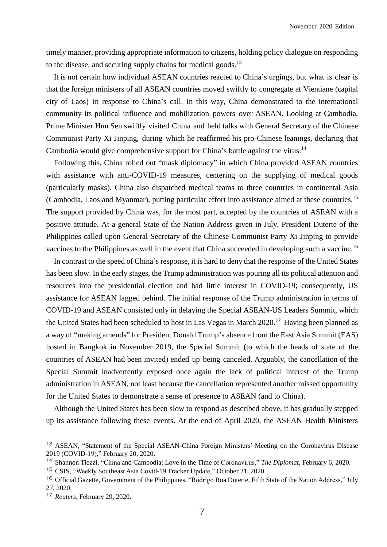timely manner, providing appropriate information to citizens, holding policy dialogue on responding to the disease, and securing supply chains for medical goods.<sup>13</sup>

It is not certain how individual ASEAN countries reacted to China's urgings, but what is clear is that the foreign ministers of all ASEAN countries moved swiftly to congregate at Vientiane (capital city of Laos) in response to China's call. In this way, China demonstrated to the international community its political influence and mobilization powers over ASEAN. Looking at Cambodia, Prime Minister Hun Sen swiftly visited China and held talks with General Secretary of the Chinese Communist Party Xi Jinping, during which he reaffirmed his pro-Chinese leanings, declaring that Cambodia would give comprehensive support for China's battle against the virus.<sup>14</sup>

Following this, China rolled out "mask diplomacy" in which China provided ASEAN countries with assistance with anti-COVID-19 measures, centering on the supplying of medical goods (particularly masks). China also dispatched medical teams to three countries in continental Asia (Cambodia, Laos and Myanmar), putting particular effort into assistance aimed at these countries.<sup>15</sup> The support provided by China was, for the most part, accepted by the countries of ASEAN with a positive attitude. At a general State of the Nation Address given in July, President Duterte of the Philippines called upon General Secretary of the Chinese Communist Party Xi Jinping to provide vaccines to the Philippines as well in the event that China succeeded in developing such a vaccine.<sup>16</sup>

In contrast to the speed of China's response, it is hard to deny that the response of the United States has been slow. In the early stages, the Trump administration was pouring all its political attention and resources into the presidential election and had little interest in COVID-19; consequently, US assistance for ASEAN lagged behind. The initial response of the Trump administration in terms of COVID-19 and ASEAN consisted only in delaying the Special ASEAN-US Leaders Summit, which the United States had been scheduled to host in Las Vegas in March 2020.<sup>17</sup> Having been planned as a way of "making amends" for President Donald Trump's absence from the East Asia Summit (EAS) hosted in Bangkok in November 2019, the Special Summit (to which the heads of state of the countries of ASEAN had been invited) ended up being canceled. Arguably, the cancellation of the Special Summit inadvertently exposed once again the lack of political interest of the Trump administration in ASEAN, not least because the cancellation represented another missed opportunity for the United States to demonstrate a sense of presence to ASEAN (and to China).

Although the United States has been slow to respond as described above, it has gradually stepped up its assistance following these events. At the end of April 2020, the ASEAN Health Ministers

<sup>13</sup> ASEAN, "Statement of the Special ASEAN-China Foreign Ministers' Meeting on the Coronavirus Disease 2019 (COVID-19)," February 20, 2020.

<sup>14</sup> Shannon Tiezzi, "China and Cambodia: Love in the Time of Coronavirus," *The Diplomat*, February 6, 2020.

<sup>15</sup> CSIS, "Weekly Southeast Asia Covid-19 Tracker Update," October 21, 2020.

<sup>&</sup>lt;sup>16</sup> Official Gazette, Government of the Philippines, "Rodrigo Roa Duterte, Fifth State of the Nation Address," July 27, 2020.

<sup>17</sup> *Reuters,* February 29, 2020.